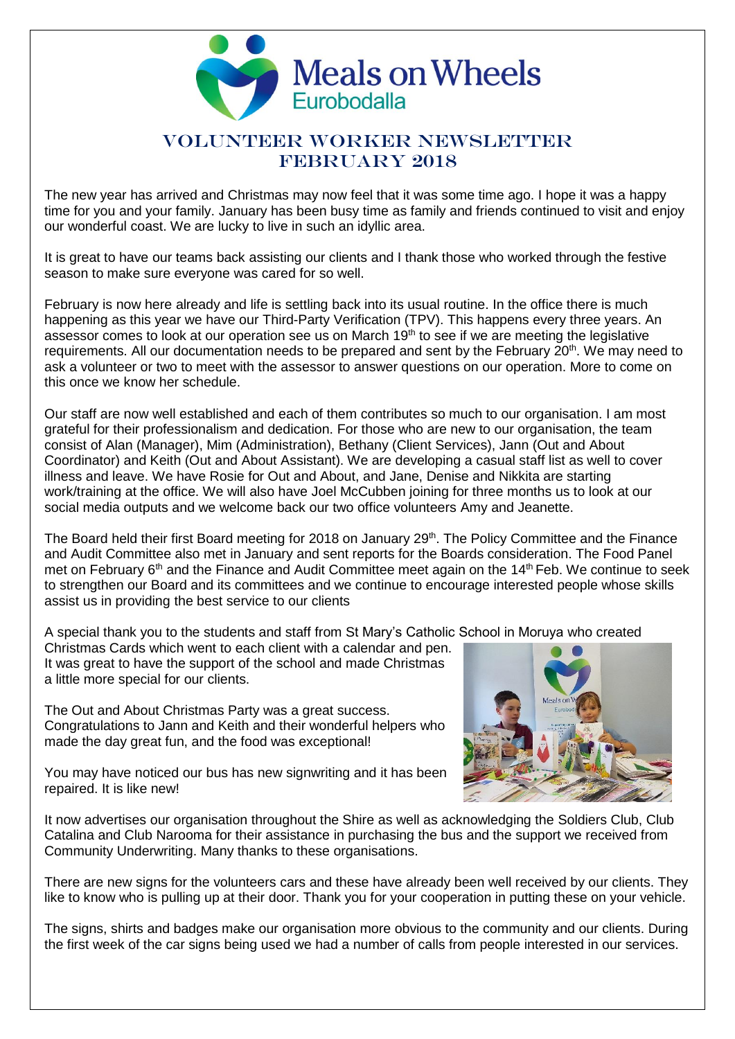

# VOLUNTEER WORKER NEWSLETTER FEBRUARY 2018

The new year has arrived and Christmas may now feel that it was some time ago. I hope it was a happy time for you and your family. January has been busy time as family and friends continued to visit and enjoy our wonderful coast. We are lucky to live in such an idyllic area.

It is great to have our teams back assisting our clients and I thank those who worked through the festive season to make sure everyone was cared for so well.

February is now here already and life is settling back into its usual routine. In the office there is much happening as this year we have our Third-Party Verification (TPV). This happens every three years. An assessor comes to look at our operation see us on March  $19<sup>th</sup>$  to see if we are meeting the legislative requirements. All our documentation needs to be prepared and sent by the February 20<sup>th</sup>. We may need to ask a volunteer or two to meet with the assessor to answer questions on our operation. More to come on this once we know her schedule.

Our staff are now well established and each of them contributes so much to our organisation. I am most grateful for their professionalism and dedication. For those who are new to our organisation, the team consist of Alan (Manager), Mim (Administration), Bethany (Client Services), Jann (Out and About Coordinator) and Keith (Out and About Assistant). We are developing a casual staff list as well to cover illness and leave. We have Rosie for Out and About, and Jane, Denise and Nikkita are starting work/training at the office. We will also have Joel McCubben joining for three months us to look at our social media outputs and we welcome back our two office volunteers Amy and Jeanette.

The Board held their first Board meeting for 2018 on January 29<sup>th</sup>. The Policy Committee and the Finance and Audit Committee also met in January and sent reports for the Boards consideration. The Food Panel met on February 6<sup>th</sup> and the Finance and Audit Committee meet again on the 14<sup>th</sup> Feb. We continue to seek to strengthen our Board and its committees and we continue to encourage interested people whose skills assist us in providing the best service to our clients

A special thank you to the students and staff from St Mary's Catholic School in Moruya who created

Christmas Cards which went to each client with a calendar and pen. It was great to have the support of the school and made Christmas a little more special for our clients.

The Out and About Christmas Party was a great success. Congratulations to Jann and Keith and their wonderful helpers who made the day great fun, and the food was exceptional!

You may have noticed our bus has new signwriting and it has been repaired. It is like new!

It now advertises our organisation throughout the Shire as well as acknowledging the Soldiers Club, Club Catalina and Club Narooma for their assistance in purchasing the bus and the support we received from Community Underwriting. Many thanks to these organisations.

There are new signs for the volunteers cars and these have already been well received by our clients. They like to know who is pulling up at their door. Thank you for your cooperation in putting these on your vehicle.

The signs, shirts and badges make our organisation more obvious to the community and our clients. During the first week of the car signs being used we had a number of calls from people interested in our services.